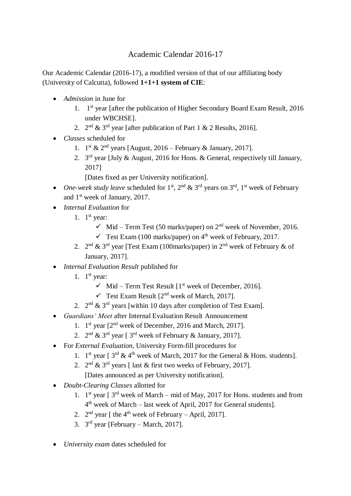## Academic Calendar 2016-17

Our Academic Calendar (2016-17), a modified version of that of our affiliating body (University of Calcutta), followed **1+1+1 system of CIE**:

- *Admission* in June for
	- 1. 1 st year [after the publication of Higher Secondary Board Exam Result, 2016 under WBCHSE].
	- 2.  $2^{nd}$  & 3<sup>rd</sup> year [after publication of Part 1 & 2 Results, 2016].
- *Classes* scheduled for
	- 1.  $1^{\text{st}}$  &  $2^{\text{nd}}$  years [August, 2016 February & January, 2017].
	- 2.  $3<sup>rd</sup>$  year [July & August, 2016 for Hons. & General, respectively till January, 2017]

[Dates fixed as per University notification].

- *One-week study leave* scheduled for  $1<sup>st</sup>$ ,  $2<sup>nd</sup>$  &  $3<sup>rd</sup>$  years on  $3<sup>rd</sup>$ ,  $1<sup>st</sup>$  week of February and 1<sup>st</sup> week of January, 2017.
- *Internal Evaluation* for
	- 1.  $1<sup>st</sup>$  year:
		- $\checkmark$  Mid Term Test (50 marks/paper) on 2<sup>nd</sup> week of November, 2016.
		- $\checkmark$  Test Exam (100 marks/paper) on 4<sup>th</sup> week of February, 2017.
	- 2.  $2^{nd}$  &  $3^{rd}$  year [Test Exam (100marks/paper) in  $2^{nd}$  week of February & of January, 2017].
- *Internal Evaluation Result* published for
	- 1.  $1<sup>st</sup>$  year:
		- $\checkmark$  Mid Term Test Result [1<sup>st</sup> week of December, 2016].
		- $\checkmark$  Test Exam Result  $[2^{nd}$  week of March, 2017].
	- 2.  $2^{nd}$  &  $3^{rd}$  years [within 10 days after completion of Test Exam].
- *Guardians' Meet* after Internal Evaluation Result Announcement
	- 1. 1 st year [2nd week of December, 2016 and March, 2017].
	- 2.  $2^{\text{nd}}$  &  $3^{\text{rd}}$  year [  $3^{\text{rd}}$  week of February & January, 2017].
- For *External Evaluation*, University Form-fill procedures for
	- 1. 1<sup>st</sup> year [ $3^{rd}$  & 4<sup>th</sup> week of March, 2017 for the General & Hons. students].
	- 2.  $2^{nd}$  &  $3^{rd}$  years [ last & first two weeks of February, 2017]. [Dates announced as per University notification].
- *Doubt-Clearing Classes* allotted for
	- 1.  $1<sup>st</sup>$  year [3<sup>rd</sup> week of March mid of May, 2017 for Hons. students and from 4<sup>th</sup> week of March – last week of April, 2017 for General students].
	- 2.  $2<sup>nd</sup>$  year [ the 4<sup>th</sup> week of February April, 2017].
	- 3.  $3<sup>rd</sup>$  year [February March, 2017].
- *University exam* dates scheduled for